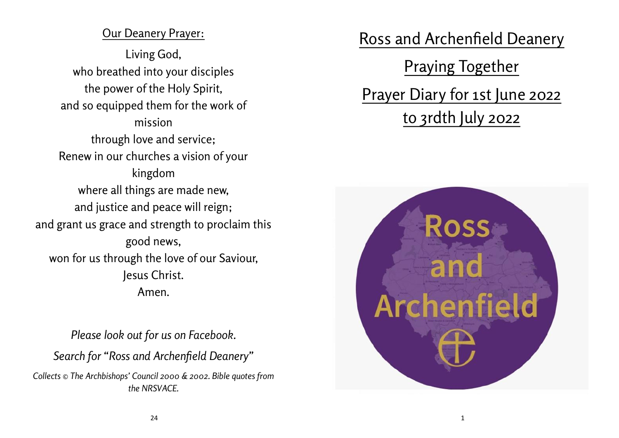# **Our Deanery Prayer:**

**Living God, who breathed into your disciples the power of the Holy Spirit, and so equipped them for the work of mission through love and service; Renew in our churches a vision of your kingdom where all things are made new, and justice and peace will reign; and grant us grace and strength to proclaim this good news, won for us through the love of our Saviour, Jesus Christ. Amen.**

*Please look out for us on Facebook. Search for "Ross and Archenfield Deanery" Collects © The Archbishops' Council 2000 & 2002. Bible quotes from the NRSVACE.*

**Ross and Archenfield Deanery**

**Praying Together Prayer Diary for 1st June 2022 to 3rdth July 2022**

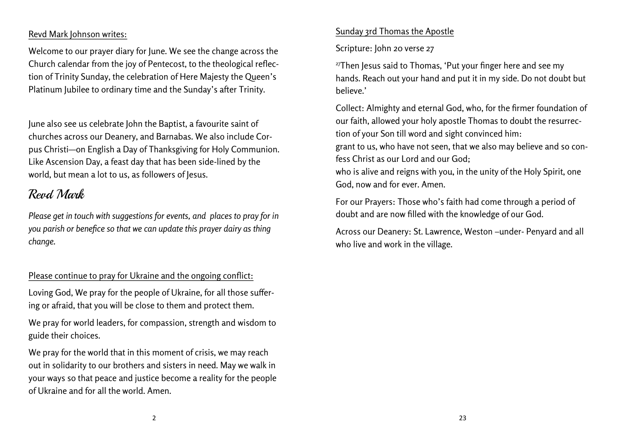#### **Revd Mark Johnson writes:**

Welcome to our prayer diary for June. We see the change across the Church calendar from the joy of Pentecost, to the theological reflection of Trinity Sunday, the celebration of Here Majesty the Queen's Platinum Jubilee to ordinary time and the Sunday's after Trinity.

June also see us celebrate John the Baptist, a favourite saint of churches across our Deanery, and Barnabas. We also include Corpus Christi—on English a Day of Thanksgiving for Holy Communion. Like Ascension Day, a feast day that has been side-lined by the world, but mean a lot to us, as followers of lesus.

# Revd Mark

*Please get in touch with suggestions for events, and places to pray for in you parish or benefice so that we can update this prayer dairy as thing change.*

#### **Please continue to pray for Ukraine and the ongoing conflict:**

Loving God, We pray for the people of Ukraine, for all those suffering or afraid, that you will be close to them and protect them.

We pray for world leaders, for compassion, strength and wisdom to guide their choices.

We pray for the world that in this moment of crisis, we may reach out in solidarity to our brothers and sisters in need. May we walk in your ways so that peace and justice become a reality for the people of Ukraine and for all the world. Amen.

#### **Sunday 3rd Thomas the Apostle**

**Scripture: John 20 verse 27**

<sup>27</sup>Then Jesus said to Thomas, 'Put your finger here and see my hands. Reach out your hand and put it in my side. Do not doubt but believe.'

**Collect:** Almighty and eternal God, who, for the firmer foundation of our faith, allowed your holy apostle Thomas to doubt the resurrection of your Son till word and sight convinced him:

grant to us, who have not seen, that we also may believe and so confess Christ as our Lord and our God;

who is alive and reigns with you, in the unity of the Holy Spirit, one God, now and for ever. Amen.

**For our Prayers:** Those who's faith had come through a period of doubt and are now filled with the knowledge of our God.

**Across our Deanery:** St. Lawrence, Weston –under- Penyard and all who live and work in the village.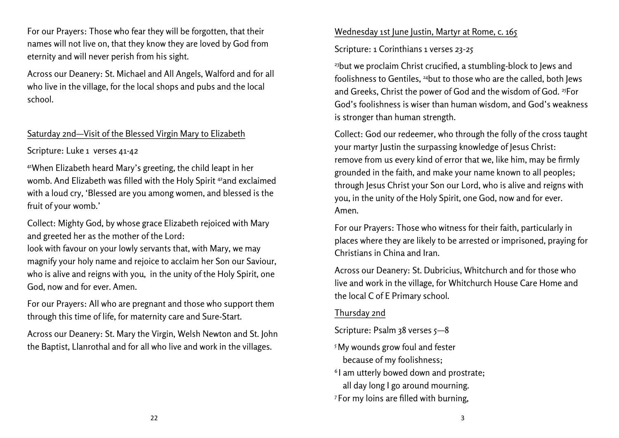**For our Prayers:** Those who fear they will be forgotten, that their names will not live on, that they know they are loved by God from eternity and will never perish from his sight.

**Across our Deanery:** St. Michael and All Angels, Walford and for all who live in the village, for the local shops and pubs and the local school.

#### **Saturday 2nd—Visit of the Blessed Virgin Mary to Elizabeth**

**Scripture: Luke 1 verses 41-42**

<sup>41</sup>When Elizabeth heard Mary's greeting, the child leapt in her womb. And Elizabeth was filled with the Holy Spirit <sup>42</sup>and exclaimed with a loud cry, 'Blessed are you among women, and blessed is the fruit of your womb.'

**Collect:** Mighty God, by whose grace Elizabeth rejoiced with Mary and greeted her as the mother of the Lord:

look with favour on your lowly servants that, with Mary, we may magnify your holy name and rejoice to acclaim her Son our Saviour, who is alive and reigns with you, in the unity of the Holy Spirit, one God, now and for ever. Amen.

**For our Prayers:** All who are pregnant and those who support them through this time of life, for maternity care and Sure-Start.

**Across our Deanery:** St. Mary the Virgin, Welsh Newton and St. John the Baptist, Llanrothal and for all who live and work in the villages.

# **Wednesday 1st June Justin, Martyr at Rome, c. 165**

**Scripture: 1 Corinthians 1 verses 23-25**

<sup>23</sup>but we proclaim Christ crucified, a stumbling-block to Jews and foolishness to Gentiles, <sup>24</sup>but to those who are the called, both Jews and Greeks, Christ the power of God and the wisdom of God.<sup>25</sup>For God's foolishness is wiser than human wisdom, and God's weakness is stronger than human strength.

**Collect:** God our redeemer, who through the folly of the cross taught your martyr Justin the surpassing knowledge of Jesus Christ: remove from us every kind of error that we, like him, may be firmly grounded in the faith, and make your name known to all peoples; through Jesus Christ your Son our Lord, who is alive and reigns with you, in the unity of the Holy Spirit, one God, now and for ever. Amen.

**For our Prayers:** Those who witness for their faith, particularly in places where they are likely to be arrested or imprisoned, praying for Christians in China and Iran.

**Across our Deanery:** St. Dubricius, Whitchurch and for those who live and work in the village, for Whitchurch House Care Home and the local C of E Primary school.

### **Thursday 2nd**

**Scripture: Psalm 38 verses 5—8**

- <sup>5</sup> My wounds grow foul and fester because of my foolishness;
- 6 I am utterly bowed down and prostrate; all day long I go around mourning.
- <sup>7</sup> For my loins are filled with burning,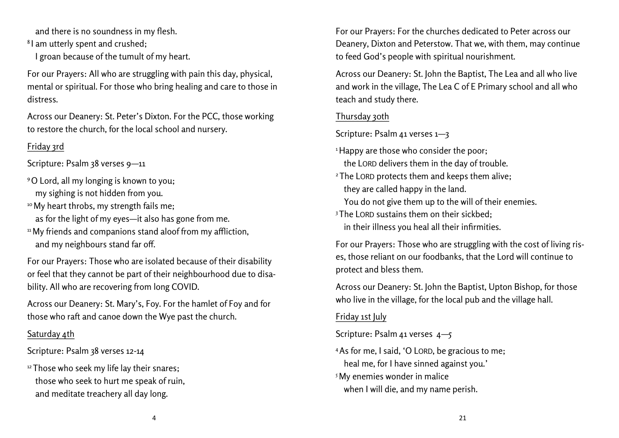and there is no soundness in my flesh.

8 I am utterly spent and crushed;

I groan because of the tumult of my heart.

**For our Prayers:** All who are struggling with pain this day, physical, mental or spiritual. For those who bring healing and care to those in distress.

**Across our Deanery:** St. Peter's Dixton. For the PCC, those working to restore the church, for the local school and nursery.

### **Friday 3rd**

**Scripture: Psalm 38 verses 9—11**

- <sup>9</sup>O Lord, all my longing is known to you; my sighing is not hidden from you.
- <sup>10</sup> My heart throbs, my strength fails me;
	- as for the light of my eyes—it also has gone from me.
- <sup>11</sup>My friends and companions stand aloof from my affliction, and my neighbours stand far off.

**For our Prayers:** Those who are isolated because of their disability or feel that they cannot be part of their neighbourhood due to disability. All who are recovering from long COVID.

**Across our Deanery:** St. Mary's, Foy. For the hamlet of Foy and for those who raft and canoe down the Wye past the church.

# **Saturday 4th**

Scripture: Psalm 38 verses 12-14

<sup>12</sup>Those who seek my life lay their snares; those who seek to hurt me speak of ruin, and meditate treachery all day long.

**For our Prayers:** For the churches dedicated to Peter across our Deanery, Dixton and Peterstow. That we, with them, may continue to feed God's people with spiritual nourishment.

**Across our Deanery:** St. John the Baptist, The Lea and all who live and work in the village, The Lea C of E Primary school and all who teach and study there.

# **Thursday 30th**

**Scripture: Psalm 41 verses 1—3**

- <sup>1</sup>Happy are those who consider the poor; the LORD delivers them in the day of trouble.
- <sup>2</sup>The LORD protects them and keeps them alive; they are called happy in the land. You do not give them up to the will of their enemies.
- $3$ The LORD sustains them on their sickbed: in their illness you heal all their infirmities.

**For our Prayers:** Those who are struggling with the cost of living rises, those reliant on our foodbanks, that the Lord will continue to protect and bless them.

**Across our Deanery: St**. John the Baptist, Upton Bishop, for those who live in the village, for the local pub and the village hall.

# **Friday 1st July**

**Scripture: Psalm 41 verses 4—5**

- <sup>4</sup>As for me, I said, 'O LORD, be gracious to me; heal me, for I have sinned against you.'
- <sup>5</sup> My enemies wonder in malice when I will die, and my name perish.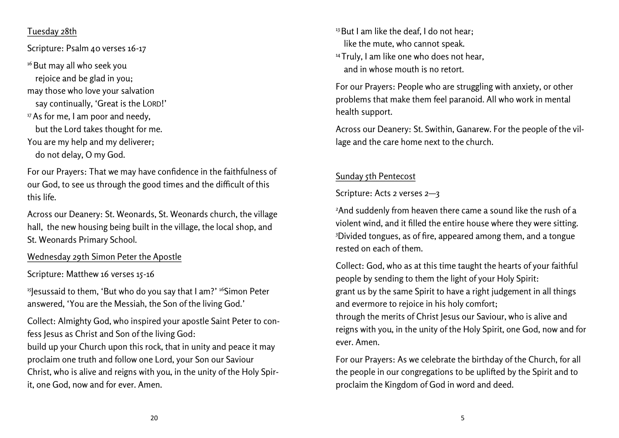#### **Tuesday 28th**

**Scripture: Psalm 40 verses 16-17**

<sup>16</sup> But may all who seek you rejoice and be glad in you; may those who love your salvation say continually, 'Great is the LORD!' <sup>17</sup> As for me, I am poor and needy, but the Lord takes thought for me. You are my help and my deliverer; do not delay, O my God.

**For our Prayers:** That we may have confidence in the faithfulness of our God, to see us through the good times and the difficult of this this life.

**Across our Deanery:** St. Weonards, St. Weonards church, the village hall, the new housing being built in the village, the local shop, and St. Weonards Primary School.

#### **Wednesday 29th Simon Peter the Apostle**

**Scripture: Matthew 16 verses 15-16**

<sup>15</sup>Jesussaid to them, 'But who do you say that I am?' <sup>16</sup>Simon Peter answered, 'You are the Messiah, the Son of the living God.'

**Collect:** Almighty God, who inspired your apostle Saint Peter to confess Jesus as Christ and Son of the living God:

build up your Church upon this rock, that in unity and peace it may proclaim one truth and follow one Lord, your Son our Saviour Christ, who is alive and reigns with you, in the unity of the Holy Spirit, one God, now and for ever. Amen.

<sup>13</sup> But I am like the deaf. I do not hear: like the mute, who cannot speak. <sup>14</sup> Truly, I am like one who does not hear, and in whose mouth is no retort.

**For our Prayers:** People who are struggling with anxiety, or other problems that make them feel paranoid. All who work in mental health support.

**Across our Deanery:** St. Swithin, Ganarew. For the people of the village and the care home next to the church.

### **Sunday 5th Pentecost**

**Scripture: Acts 2 verses 2—3**

<sup>2</sup>And suddenly from heaven there came a sound like the rush of a violent wind, and it filled the entire house where they were sitting. <sup>3</sup>Divided tongues, as of fire, appeared among them, and a tongue rested on each of them.

**Collect:** God, who as at this time taught the hearts of your faithful people by sending to them the light of your Holy Spirit: grant us by the same Spirit to have a right judgement in all things and evermore to rejoice in his holy comfort;

through the merits of Christ Jesus our Saviour, who is alive and reigns with you, in the unity of the Holy Spirit, one God, now and for ever. Amen.

**For our Prayers:** As we celebrate the birthday of the Church, for all the people in our congregations to be uplifted by the Spirit and to proclaim the Kingdom of God in word and deed.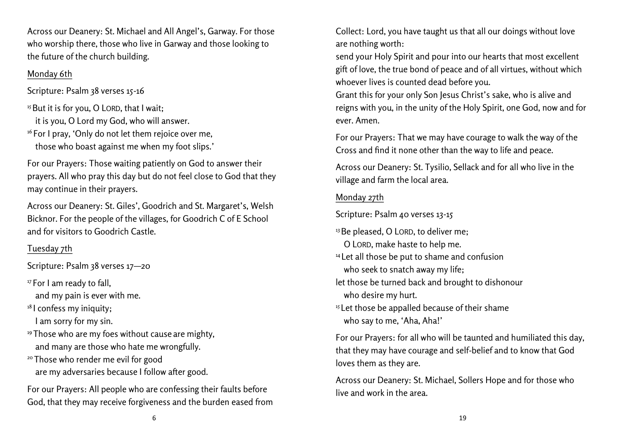**Across our Deanery:** St. Michael and All Angel's, Garway. For those who worship there, those who live in Garway and those looking to the future of the church building.

### **Monday 6th**

**Scripture: Psalm 38 verses 15-16**

 $15$  But it is for you, O LORD, that I wait; it is you, O Lord my God, who will answer. <sup>16</sup> For I pray, 'Only do not let them rejoice over me, those who boast against me when my foot slips.'

**For our Prayers:** Those waiting patiently on God to answer their prayers. All who pray this day but do not feel close to God that they may continue in their prayers.

**Across our Deanery:** St. Giles', Goodrich and St. Margaret's, Welsh Bicknor. For the people of the villages, for Goodrich C of E School and for visitors to Goodrich Castle.

# **Tuesday 7th**

**Scripture: Psalm 38 verses 17—20**

<sup>17</sup> For I am ready to fall,

and my pain is ever with me.

<sup>18</sup> I confess my iniquity;

I am sorry for my sin.

- <sup>19</sup> Those who are my foes without cause are mighty, and many are those who hate me wrongfully.
- <sup>20</sup> Those who render me evil for good are my adversaries because I follow after good.

**For our Prayers:** All people who are confessing their faults before God, that they may receive forgiveness and the burden eased from Collect: Lord, you have taught us that all our doings without love are nothing worth:

send your Holy Spirit and pour into our hearts that most excellent gift of love, the true bond of peace and of all virtues, without which whoever lives is counted dead before you.

Grant this for your only Son Jesus Christ's sake, who is alive and reigns with you, in the unity of the Holy Spirit, one God, now and for ever. Amen.

**For our Prayers:** That we may have courage to walk the way of the Cross and find it none other than the way to life and peace.

**Across our Deanery:** St. Tysilio, Sellack and for all who live in the village and farm the local area.

# **Monday 27th**

**Scripture: Psalm 40 verses 13-15**

- <sup>13</sup> Be pleased, O LORD, to deliver me; O LORD, make haste to help me.
- <sup>14</sup> Let all those be put to shame and confusion who seek to snatch away my life;
- let those be turned back and brought to dishonour who desire my hurt.
- <sup>15</sup> Let those be appalled because of their shame who say to me, 'Aha, Aha!'

**For our Prayers:** for all who will be taunted and humiliated this day, that they may have courage and self-belief and to know that God loves them as they are.

**Across our Deanery:** St. Michael, Sollers Hope and for those who live and work in the area.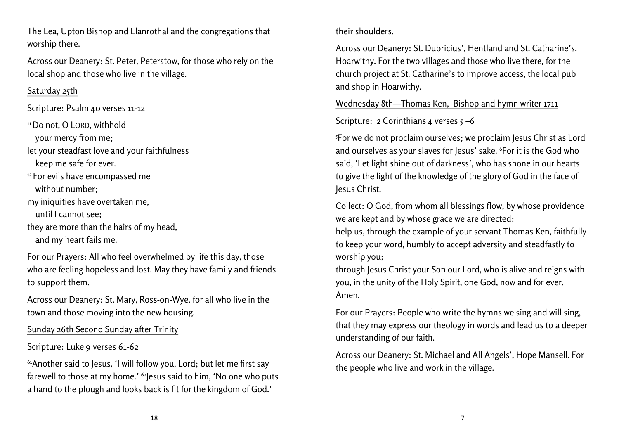The Lea, Upton Bishop and Llanrothal and the congregations that worship there.

**Across our Deanery:** St. Peter, Peterstow, for those who rely on the local shop and those who live in the village.

### **Saturday 25th**

**Scripture: Psalm 40 verses 11-12**

<sup>11</sup> Do not, O LORD, withhold

your mercy from me;

let your steadfast love and your faithfulness keep me safe for ever.

<sup>12</sup> For evils have encompassed me without number;

my iniquities have overtaken me,

until I cannot see;

they are more than the hairs of my head, and my heart fails me.

**For our Prayers:** All who feel overwhelmed by life this day, those who are feeling hopeless and lost. May they have family and friends to support them.

**Across our Deanery:** St. Mary, Ross-on-Wye, for all who live in the town and those moving into the new housing.

# **Sunday 26th Second Sunday after Trinity**

# **Scripture: Luke 9 verses 61-62**

<sup>61</sup>Another said to Jesus, 'I will follow you, Lord; but let me first say farewell to those at my home.' <sup>62</sup> lesus said to him, 'No one who puts a hand to the plough and looks back is fit for the kingdom of God.'

### their shoulders.

**Across our Deanery:** St. Dubricius', Hentland and St. Catharine's, Hoarwithy. For the two villages and those who live there, for the church project at St. Catharine's to improve access, the local pub and shop in Hoarwithy.

**Wednesday 8th—Thomas Ken, Bishop and hymn writer 1711**

**Scripture: 2 Corinthians 4 verses 5 –6**

<sup>5</sup>For we do not proclaim ourselves; we proclaim Jesus Christ as Lord and ourselves as your slaves for Jesus' sake. <sup>6</sup>For it is the God who said, 'Let light shine out of darkness', who has shone in our hearts to give the light of the knowledge of the glory of God in the face of Jesus Christ.

**Collect**: O God, from whom all blessings flow, by whose providence we are kept and by whose grace we are directed:

help us, through the example of your servant Thomas Ken, faithfully to keep your word, humbly to accept adversity and steadfastly to worship you;

through Jesus Christ your Son our Lord, who is alive and reigns with you, in the unity of the Holy Spirit, one God, now and for ever. Amen.

**For our Prayers:** People who write the hymns we sing and will sing, that they may express our theology in words and lead us to a deeper understanding of our faith.

**Across our Deanery:** St. Michael and All Angels', Hope Mansell. For the people who live and work in the village.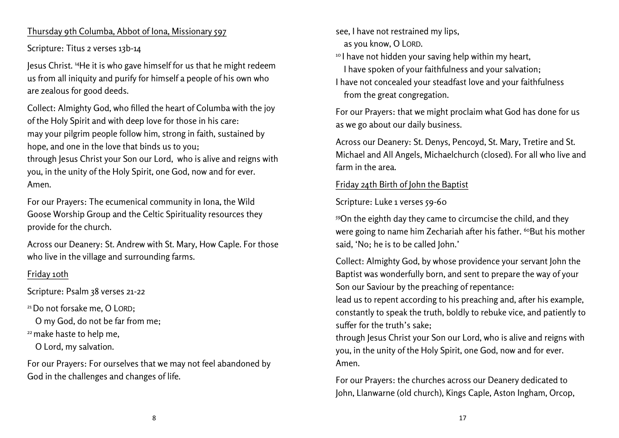#### **Thursday 9th Columba, Abbot of Iona, Missionary 597**

**Scripture: Titus 2 verses 13b-14**

Jesus Christ. <sup>14</sup>He it is who gave himself for us that he might redeem us from all iniquity and purify for himself a people of his own who are zealous for good deeds.

**Collect:** Almighty God, who filled the heart of Columba with the joy of the Holy Spirit and with deep love for those in his care: may your pilgrim people follow him, strong in faith, sustained by hope, and one in the love that binds us to you; through Jesus Christ your Son our Lord, who is alive and reigns with you, in the unity of the Holy Spirit, one God, now and for ever. Amen.

**For our Prayers:** The ecumenical community in Iona, the Wild Goose Worship Group and the Celtic Spirituality resources they provide for the church.

**Across our Deanery:** St. Andrew with St. Mary, How Caple. For those who live in the village and surrounding farms.

# **Friday 10th**

**Scripture: Psalm 38 verses 21-22**

<sup>21</sup> Do not forsake me, O LORD:

O my God, do not be far from me;

<sup>22</sup> make haste to help me,

O Lord, my salvation.

**For our Prayers:** For ourselves that we may not feel abandoned by God in the challenges and changes of life.

see, I have not restrained my lips,

as you know, O LORD.

<sup>10</sup> I have not hidden your saving help within my heart,

I have spoken of your faithfulness and your salvation;

I have not concealed your steadfast love and your faithfulness from the great congregation.

**For our Prayers:** that we might proclaim what God has done for us as we go about our daily business.

**Across our Deanery:** St. Denys, Pencoyd, St. Mary, Tretire and St. Michael and All Angels, Michaelchurch (closed). For all who live and farm in the area.

### **Friday 24th Birth of John the Baptist**

**Scripture: Luke 1 verses 59-60**

<sup>59</sup>On the eighth day they came to circumcise the child, and they were going to name him Zechariah after his father. <sup>60</sup>But his mother said, 'No; he is to be called John.'

**Collect:** Almighty God, by whose providence your servant John the Baptist was wonderfully born, and sent to prepare the way of your Son our Saviour by the preaching of repentance:

lead us to repent according to his preaching and, after his example, constantly to speak the truth, boldly to rebuke vice, and patiently to suffer for the truth's sake;

through Jesus Christ your Son our Lord, who is alive and reigns with you, in the unity of the Holy Spirit, one God, now and for ever. Amen.

**For our Prayers:** the churches across our Deanery dedicated to John, Llanwarne (old church), Kings Caple, Aston Ingham, Orcop,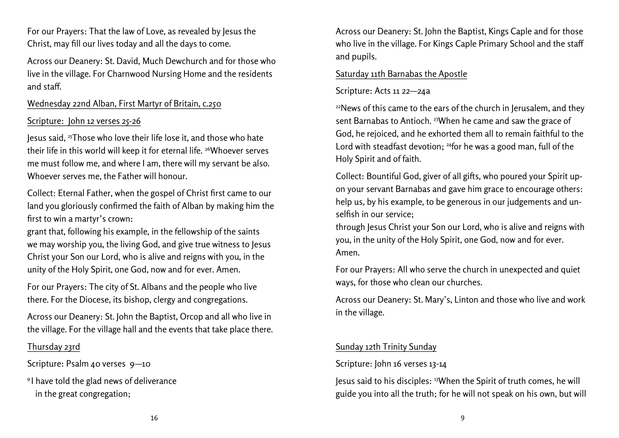**For our Prayers:** That the law of Love, as revealed by Jesus the Christ, may fill our lives today and all the days to come.

**Across our Deanery:** St. David, Much Dewchurch and for those who live in the village. For Charnwood Nursing Home and the residents and staff.

#### **Wednesday 22nd Alban, First Martyr of Britain, c.250**

#### Scripture: John 12 verses 25-26

Jesus said, <sup>25</sup>Those who love their life lose it, and those who hate their life in this world will keep it for eternal life. <sup>26</sup>Whoever serves me must follow me, and where I am, there will my servant be also. Whoever serves me, the Father will honour.

**Collect:** Eternal Father, when the gospel of Christ first came to our land you gloriously confirmed the faith of Alban by making him the first to win a martyr's crown:

grant that, following his example, in the fellowship of the saints we may worship you, the living God, and give true witness to Jesus Christ your Son our Lord, who is alive and reigns with you, in the unity of the Holy Spirit, one God, now and for ever. Amen.

**For our Prayers:** The city of St. Albans and the people who live there. For the Diocese, its bishop, clergy and congregations.

**Across our Deanery:** St. John the Baptist, Orcop and all who live in the village. For the village hall and the events that take place there.

#### **Thursday 23rd**

**Scripture: Psalm 40 verses 9—10**

9 I have told the glad news of deliverance in the great congregation;

**Across our Deanery:** St. John the Baptist, Kings Caple and for those who live in the village. For Kings Caple Primary School and the staff and pupils.

#### **Saturday 11th Barnabas the Apostle**

#### **Scripture: Acts 11 22—24a**

<sup>22</sup>News of this came to the ears of the church in Jerusalem, and they sent Barnabas to Antioch. <sup>23</sup> When he came and saw the grace of God, he rejoiced, and he exhorted them all to remain faithful to the Lord with steadfast devotion; <sup>24</sup>for he was a good man, full of the Holy Spirit and of faith.

**Collect:** Bountiful God, giver of all gifts, who poured your Spirit upon your servant Barnabas and gave him grace to encourage others: help us, by his example, to be generous in our judgements and unselfish in our service;

through Jesus Christ your Son our Lord, who is alive and reigns with you, in the unity of the Holy Spirit, one God, now and for ever. Amen.

**For our Prayers:** All who serve the church in unexpected and quiet ways, for those who clean our churches.

**Across our Deanery:** St. Mary's, Linton and those who live and work in the village.

### **Sunday 12th Trinity Sunday**

#### **Scripture: John 16 verses 13-14**

Jesus said to his disciples: <sup>13</sup>When the Spirit of truth comes, he will guide you into all the truth; for he will not speak on his own, but will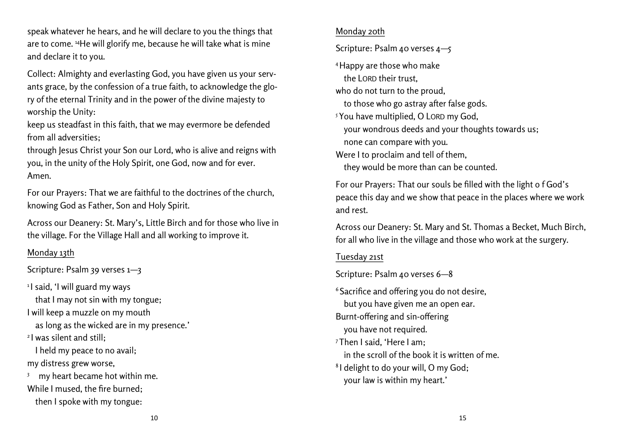speak whatever he hears, and he will declare to you the things that are to come. <sup>14</sup>He will glorify me, because he will take what is mine and declare it to you.

**Collect:** Almighty and everlasting God, you have given us your servants grace, by the confession of a true faith, to acknowledge the glory of the eternal Trinity and in the power of the divine majesty to worship the Unity:

keep us steadfast in this faith, that we may evermore be defended from all adversities;

through Jesus Christ your Son our Lord, who is alive and reigns with you, in the unity of the Holy Spirit, one God, now and for ever. Amen.

**For our Prayers:** That we are faithful to the doctrines of the church, knowing God as Father, Son and Holy Spirit.

**Across our Deanery:** St. Mary's, Little Birch and for those who live in the village. For the Village Hall and all working to improve it.

#### **Monday 13th**

**Scripture: Psalm 39 verses 1—3**

1 I said, 'I will guard my ways

that I may not sin with my tongue;

I will keep a muzzle on my mouth

as long as the wicked are in my presence.'

2 I was silent and still;

 I held my peace to no avail; my distress grew worse,

3 my heart became hot within me. While I mused, the fire burned; then I spoke with my tongue:

#### **Monday 20th**

**Scripture: Psalm 40 verses 4—5**

<sup>4</sup>Happy are those who make

the LORD their trust,

who do not turn to the proud,

to those who go astray after false gods.

<sup>5</sup> You have multiplied, O LORD my God, your wondrous deeds and your thoughts towards us;

none can compare with you.

Were I to proclaim and tell of them,

they would be more than can be counted.

**For our Prayers:** That our souls be filled with the light o f God's peace this day and we show that peace in the places where we work and rest.

**Across our Deanery:** St. Mary and St. Thomas a Becket, Much Birch, for all who live in the village and those who work at the surgery.

#### **Tuesday 21st**

**Scripture: Psalm 40 verses 6—8**

<sup>6</sup> Sacrifice and offering you do not desire, but you have given me an open ear. Burnt-offering and sin-offering you have not required. <sup>7</sup>Then I said, 'Here I am; in the scroll of the book it is written of me. 8 I delight to do your will, O my God; your law is within my heart.'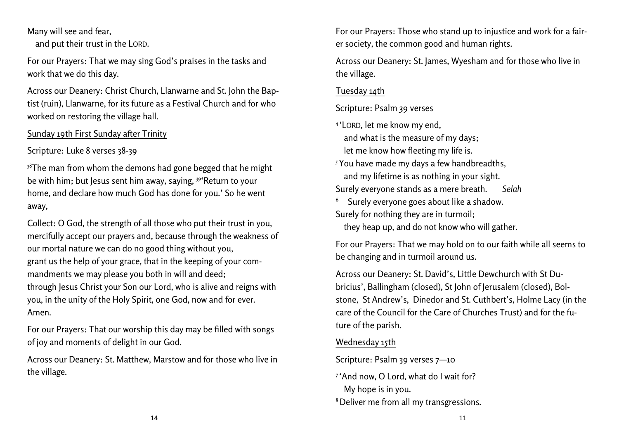Many will see and fear,

and put their trust in the LORD.

**For our Prayers:** That we may sing God's praises in the tasks and work that we do this day.

**Across our Deanery:** Christ Church, Llanwarne and St. John the Baptist (ruin), Llanwarne, for its future as a Festival Church and for who worked on restoring the village hall.

#### **Sunday 19th First Sunday after Trinity**

**Scripture: Luke 8 verses 38-39**

 $38$ The man from whom the demons had gone begged that he might be with him; but Jesus sent him away, saying, <sup>39</sup> 'Return to your home, and declare how much God has done for you.' So he went away,

**Collect:** O God, the strength of all those who put their trust in you, mercifully accept our prayers and, because through the weakness of our mortal nature we can do no good thing without you, grant us the help of your grace, that in the keeping of your commandments we may please you both in will and deed; through Jesus Christ your Son our Lord, who is alive and reigns with you, in the unity of the Holy Spirit, one God, now and for ever. Amen.

**For our Prayers:** That our worship this day may be filled with songs of joy and moments of delight in our God.

**Across our Deanery:** St. Matthew, Marstow and for those who live in the village.

**For our Prayers:** Those who stand up to injustice and work for a fairer society, the common good and human rights.

**Across our Deanery:** St. James, Wyesham and for those who live in the village.

### **Tuesday 14th**

**Scripture: Psalm 39 verses**

4 'LORD, let me know my end,

and what is the measure of my days;

let me know how fleeting my life is.

 $5$  You have made my days a few handbreadths, and my lifetime is as nothing in your sight. Surely everyone stands as a mere breath. *Selah*

6 Surely everyone goes about like a shadow.

Surely for nothing they are in turmoil;

they heap up, and do not know who will gather.

**For our Prayers:** That we may hold on to our faith while all seems to be changing and in turmoil around us.

**Across our Deanery:** St. David's, Little Dewchurch with St Dubricius', Ballingham (closed), St John of Jerusalem (closed), Bolstone, St Andrew's, Dinedor and St. Cuthbert's, Holme Lacy (in the care of the Council for the Care of Churches Trust) and for the future of the parish.

# **Wednesday 15th**

**Scripture: Psalm 39 verses 7—10**

- 7 'And now, O Lord, what do I wait for? My hope is in you.
- 8Deliver me from all my transgressions.